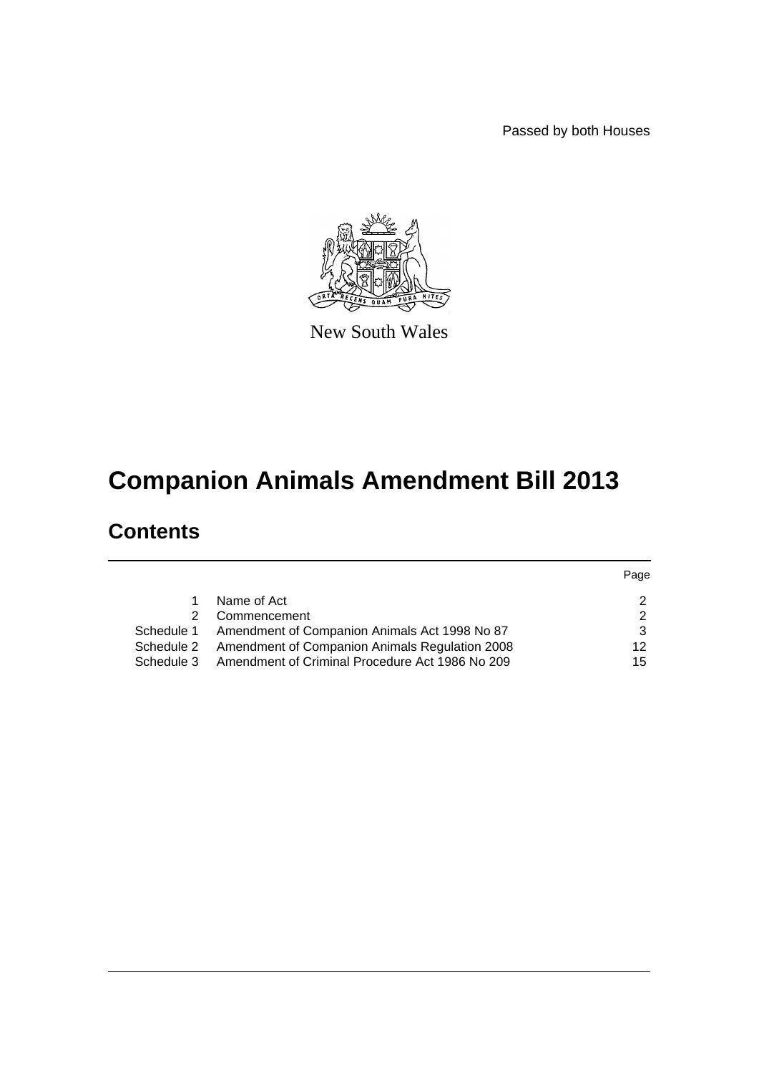Passed by both Houses



New South Wales

# **Companion Animals Amendment Bill 2013**

# **Contents**

|            |                                                 | Page |
|------------|-------------------------------------------------|------|
|            | Name of Act                                     | າ    |
|            | Commencement                                    | 2    |
| Schedule 1 | Amendment of Companion Animals Act 1998 No 87   | 3    |
| Schedule 2 | Amendment of Companion Animals Regulation 2008  | 12   |
| Schedule 3 | Amendment of Criminal Procedure Act 1986 No 209 | 15   |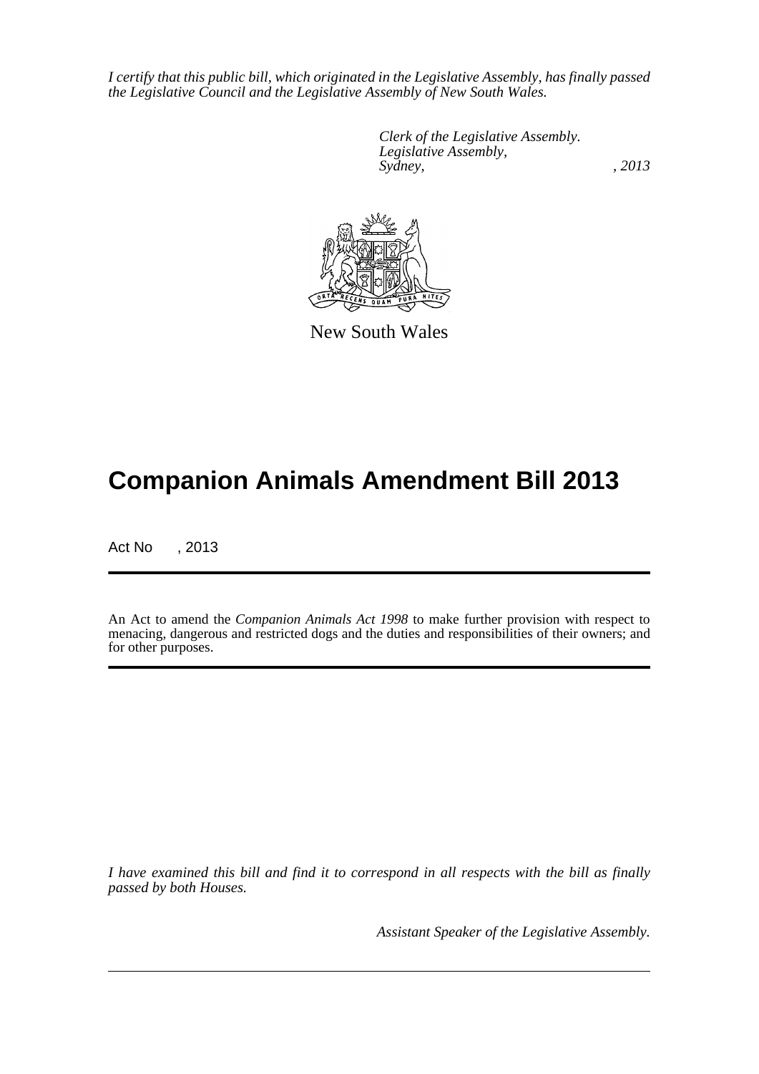*I certify that this public bill, which originated in the Legislative Assembly, has finally passed the Legislative Council and the Legislative Assembly of New South Wales.*

> *Clerk of the Legislative Assembly. Legislative Assembly, Sydney, , 2013*



New South Wales

# **Companion Animals Amendment Bill 2013**

Act No , 2013

An Act to amend the *Companion Animals Act 1998* to make further provision with respect to menacing, dangerous and restricted dogs and the duties and responsibilities of their owners; and for other purposes.

*I have examined this bill and find it to correspond in all respects with the bill as finally passed by both Houses.*

*Assistant Speaker of the Legislative Assembly.*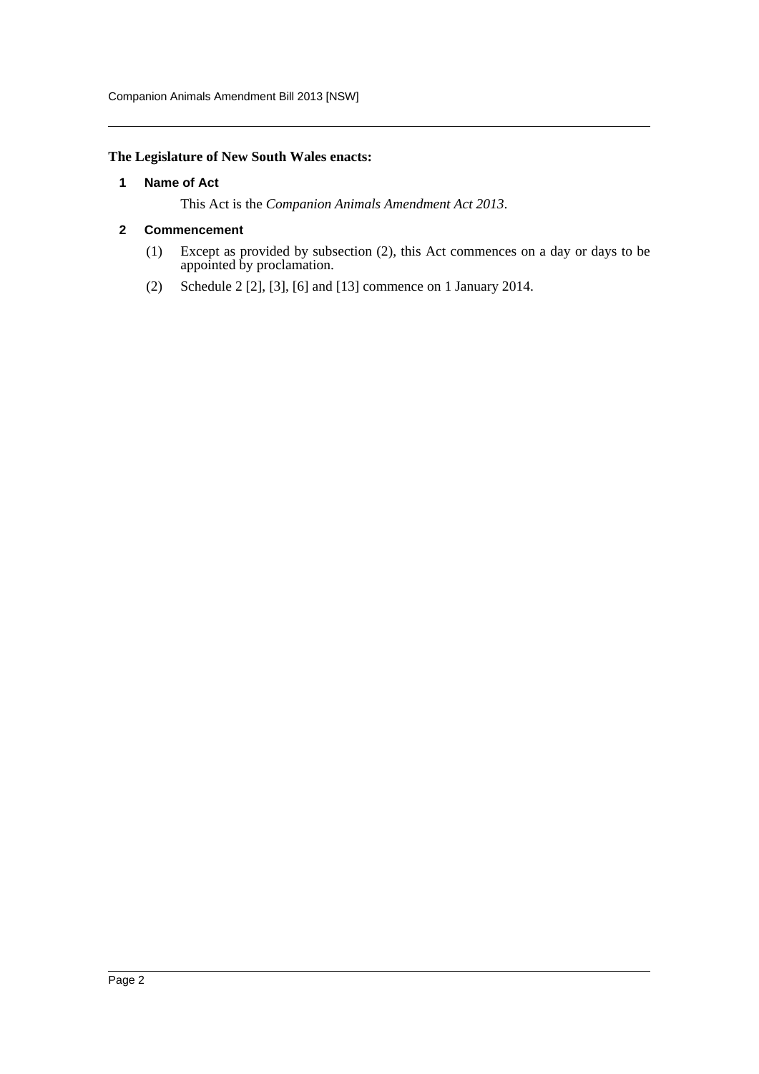# <span id="page-2-0"></span>**The Legislature of New South Wales enacts:**

#### **1 Name of Act**

This Act is the *Companion Animals Amendment Act 2013*.

#### <span id="page-2-1"></span>**2 Commencement**

- (1) Except as provided by subsection (2), this Act commences on a day or days to be appointed by proclamation.
- (2) Schedule 2 [2], [3], [6] and [13] commence on 1 January 2014.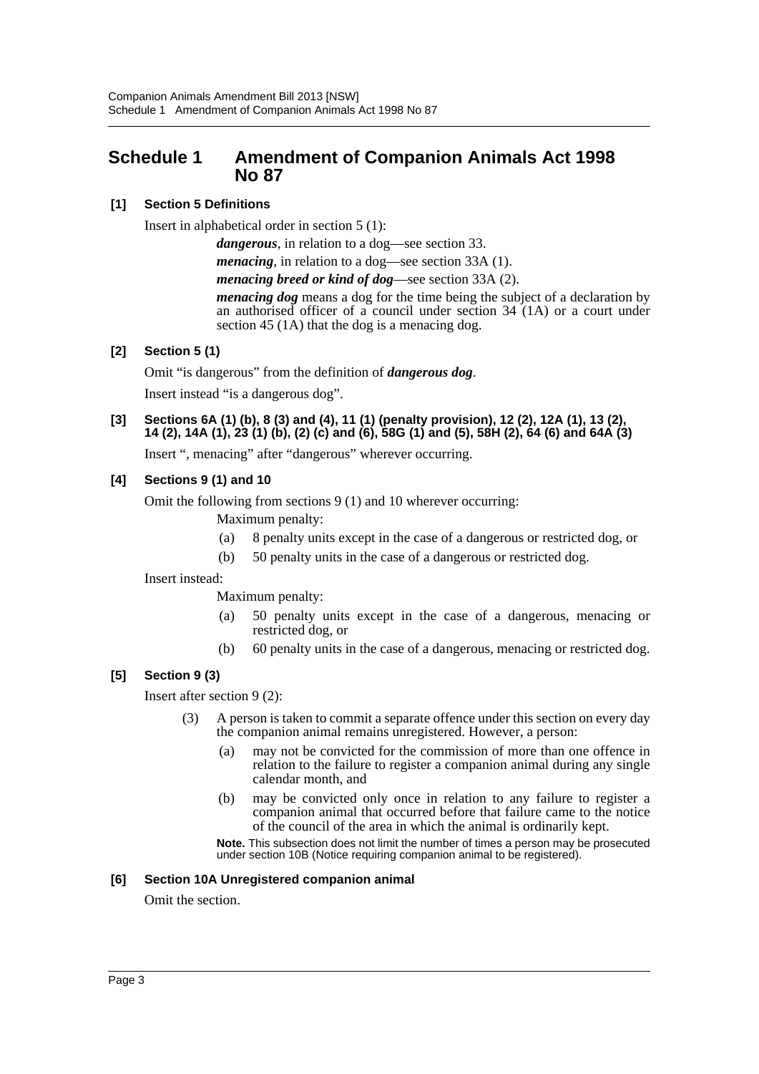# <span id="page-3-0"></span>**Schedule 1 Amendment of Companion Animals Act 1998 No 87**

# **[1] Section 5 Definitions**

Insert in alphabetical order in section 5 (1):

*dangerous*, in relation to a dog—see section 33.

*menacing*, in relation to a dog—see section 33A (1).

*menacing breed or kind of dog*—see section 33A (2).

*menacing dog* means a dog for the time being the subject of a declaration by an authorised officer of a council under section 34 (1A) or a court under section 45 (1A) that the dog is a menacing dog.

# **[2] Section 5 (1)**

Omit "is dangerous" from the definition of *dangerous dog*.

Insert instead "is a dangerous dog".

# **[3] Sections 6A (1) (b), 8 (3) and (4), 11 (1) (penalty provision), 12 (2), 12A (1), 13 (2), 14 (2), 14A (1), 23 (1) (b), (2) (c) and (6), 58G (1) and (5), 58H (2), 64 (6) and 64A (3)**

Insert ", menacing" after "dangerous" wherever occurring.

# **[4] Sections 9 (1) and 10**

Omit the following from sections 9 (1) and 10 wherever occurring:

Maximum penalty:

- (a) 8 penalty units except in the case of a dangerous or restricted dog, or
- (b) 50 penalty units in the case of a dangerous or restricted dog.

Insert instead:

Maximum penalty:

- (a) 50 penalty units except in the case of a dangerous, menacing or restricted dog, or
- (b) 60 penalty units in the case of a dangerous, menacing or restricted dog.

# **[5] Section 9 (3)**

Insert after section 9 (2):

- (3) A person is taken to commit a separate offence under this section on every day the companion animal remains unregistered. However, a person:
	- (a) may not be convicted for the commission of more than one offence in relation to the failure to register a companion animal during any single calendar month, and
	- (b) may be convicted only once in relation to any failure to register a companion animal that occurred before that failure came to the notice of the council of the area in which the animal is ordinarily kept.

**Note.** This subsection does not limit the number of times a person may be prosecuted under section 10B (Notice requiring companion animal to be registered).

# **[6] Section 10A Unregistered companion animal**

Omit the section.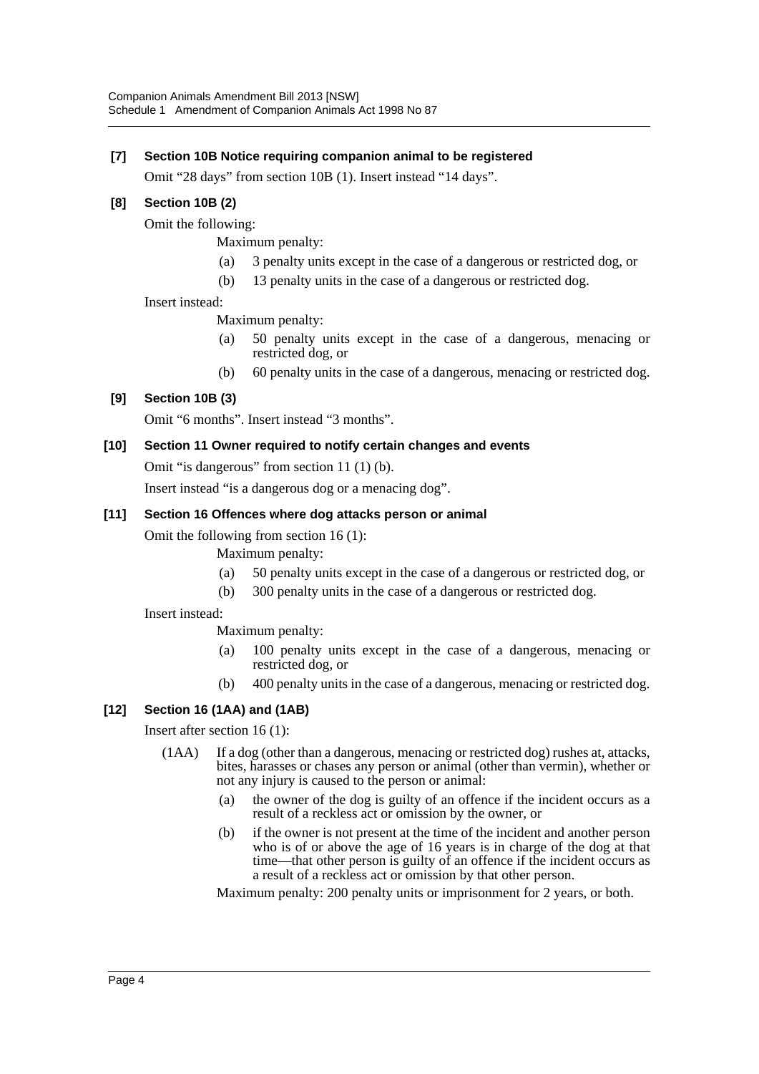# **[7] Section 10B Notice requiring companion animal to be registered**

Omit "28 days" from section 10B (1). Insert instead "14 days".

# **[8] Section 10B (2)**

Omit the following:

Maximum penalty:

- (a) 3 penalty units except in the case of a dangerous or restricted dog, or
- (b) 13 penalty units in the case of a dangerous or restricted dog.

Insert instead:

Maximum penalty:

- (a) 50 penalty units except in the case of a dangerous, menacing or restricted dog, or
- (b) 60 penalty units in the case of a dangerous, menacing or restricted dog.

# **[9] Section 10B (3)**

Omit "6 months". Insert instead "3 months".

## **[10] Section 11 Owner required to notify certain changes and events**

Omit "is dangerous" from section 11 (1) (b).

Insert instead "is a dangerous dog or a menacing dog".

## **[11] Section 16 Offences where dog attacks person or animal**

Omit the following from section 16 (1):

- Maximum penalty:
- (a) 50 penalty units except in the case of a dangerous or restricted dog, or
- (b) 300 penalty units in the case of a dangerous or restricted dog.

Insert instead:

Maximum penalty:

- (a) 100 penalty units except in the case of a dangerous, menacing or restricted dog, or
- (b) 400 penalty units in the case of a dangerous, menacing or restricted dog.

# **[12] Section 16 (1AA) and (1AB)**

Insert after section 16 (1):

- (1AA) If a dog (other than a dangerous, menacing or restricted dog) rushes at, attacks, bites, harasses or chases any person or animal (other than vermin), whether or not any injury is caused to the person or animal:
	- (a) the owner of the dog is guilty of an offence if the incident occurs as a result of a reckless act or omission by the owner, or
	- (b) if the owner is not present at the time of the incident and another person who is of or above the age of 16 years is in charge of the dog at that time—that other person is guilty of an offence if the incident occurs as a result of a reckless act or omission by that other person.

Maximum penalty: 200 penalty units or imprisonment for 2 years, or both.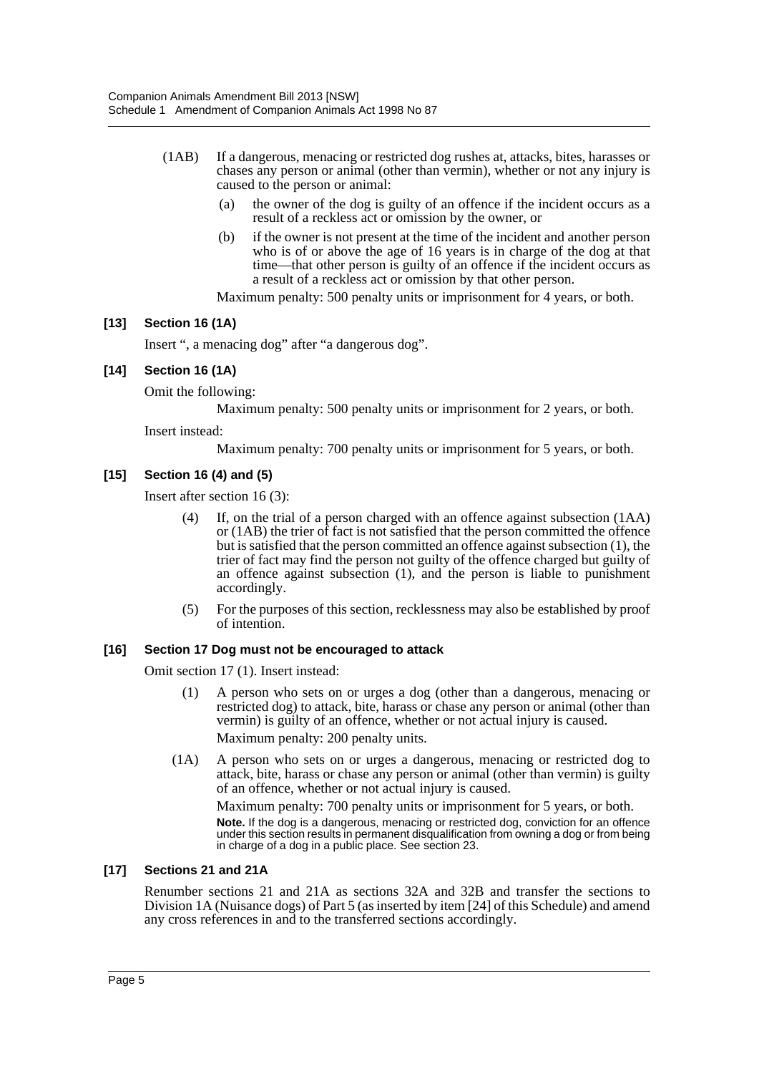- (1AB) If a dangerous, menacing or restricted dog rushes at, attacks, bites, harasses or chases any person or animal (other than vermin), whether or not any injury is caused to the person or animal:
	- (a) the owner of the dog is guilty of an offence if the incident occurs as a result of a reckless act or omission by the owner, or
	- (b) if the owner is not present at the time of the incident and another person who is of or above the age of 16 years is in charge of the dog at that time—that other person is guilty of an offence if the incident occurs as a result of a reckless act or omission by that other person.

Maximum penalty: 500 penalty units or imprisonment for 4 years, or both.

## **[13] Section 16 (1A)**

Insert ", a menacing dog" after "a dangerous dog".

#### **[14] Section 16 (1A)**

Omit the following:

Maximum penalty: 500 penalty units or imprisonment for 2 years, or both.

Insert instead:

Maximum penalty: 700 penalty units or imprisonment for 5 years, or both.

## **[15] Section 16 (4) and (5)**

Insert after section 16 (3):

- (4) If, on the trial of a person charged with an offence against subsection (1AA) or (1AB) the trier of fact is not satisfied that the person committed the offence but is satisfied that the person committed an offence against subsection (1), the trier of fact may find the person not guilty of the offence charged but guilty of an offence against subsection (1), and the person is liable to punishment accordingly.
- (5) For the purposes of this section, recklessness may also be established by proof of intention.

#### **[16] Section 17 Dog must not be encouraged to attack**

Omit section 17 (1). Insert instead:

- (1) A person who sets on or urges a dog (other than a dangerous, menacing or restricted dog) to attack, bite, harass or chase any person or animal (other than vermin) is guilty of an offence, whether or not actual injury is caused. Maximum penalty: 200 penalty units.
- (1A) A person who sets on or urges a dangerous, menacing or restricted dog to attack, bite, harass or chase any person or animal (other than vermin) is guilty of an offence, whether or not actual injury is caused.

Maximum penalty: 700 penalty units or imprisonment for 5 years, or both. **Note.** If the dog is a dangerous, menacing or restricted dog, conviction for an offence under this section results in permanent disqualification from owning a dog or from being in charge of a dog in a public place. See section 23.

#### **[17] Sections 21 and 21A**

Renumber sections 21 and 21A as sections 32A and 32B and transfer the sections to Division 1A (Nuisance dogs) of Part 5 (as inserted by item [24] of this Schedule) and amend any cross references in and to the transferred sections accordingly.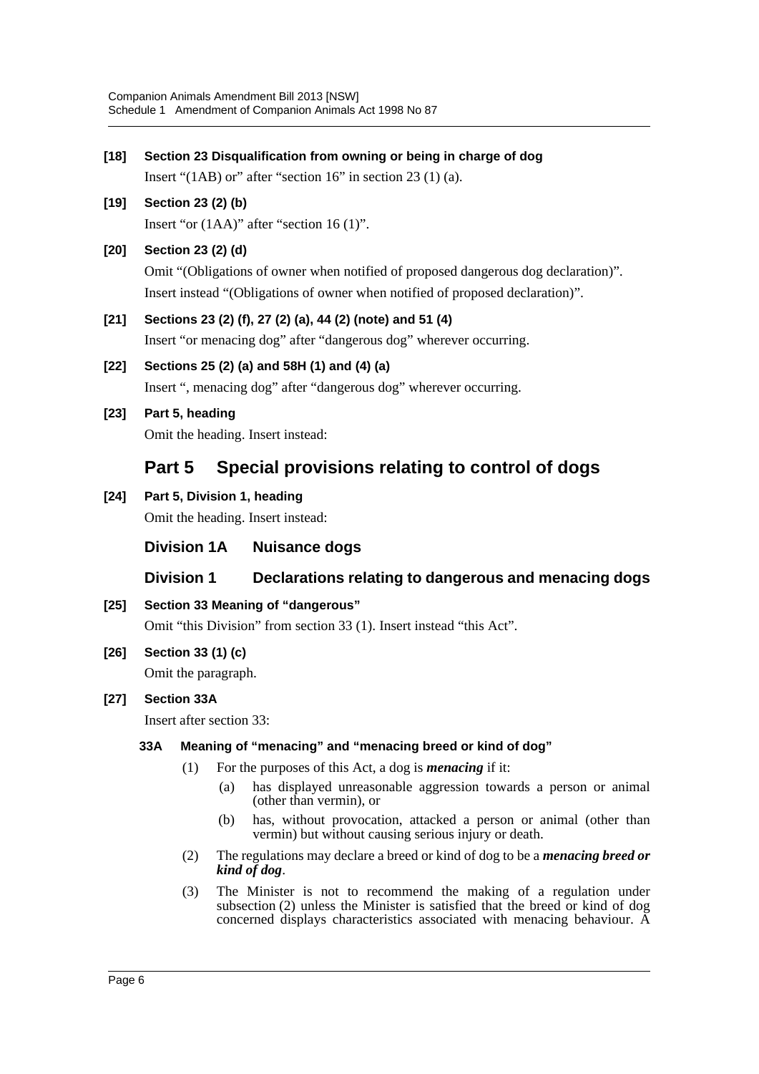| $[18]$ |                                                                  |                                                      | Section 23 Disqualification from owning or being in charge of dog                                                                                                                          |  |  |
|--------|------------------------------------------------------------------|------------------------------------------------------|--------------------------------------------------------------------------------------------------------------------------------------------------------------------------------------------|--|--|
|        |                                                                  |                                                      | Insert " $(1AB)$ or" after "section 16" in section 23 (1) (a).                                                                                                                             |  |  |
| $[19]$ |                                                                  |                                                      | Section 23 (2) (b)<br>Insert "or $(1AA)$ " after "section 16 $(1)$ ".                                                                                                                      |  |  |
| $[20]$ |                                                                  |                                                      | Section 23 (2) (d)<br>Omit "(Obligations of owner when notified of proposed dangerous dog declaration)".<br>Insert instead "(Obligations of owner when notified of proposed declaration)". |  |  |
| $[21]$ |                                                                  |                                                      | Sections 23 (2) (f), 27 (2) (a), 44 (2) (note) and 51 (4)<br>Insert "or menacing dog" after "dangerous dog" wherever occurring.                                                            |  |  |
| $[22]$ |                                                                  |                                                      | Sections 25 (2) (a) and 58H (1) and (4) (a)<br>Insert ", menacing dog" after "dangerous dog" wherever occurring.                                                                           |  |  |
| $[23]$ |                                                                  | Part 5, heading<br>Omit the heading. Insert instead: |                                                                                                                                                                                            |  |  |
|        | Part 5                                                           |                                                      | Special provisions relating to control of dogs                                                                                                                                             |  |  |
| $[24]$ | Part 5, Division 1, heading<br>Omit the heading. Insert instead: |                                                      |                                                                                                                                                                                            |  |  |
|        |                                                                  | <b>Division 1A</b>                                   | <b>Nuisance dogs</b>                                                                                                                                                                       |  |  |
|        |                                                                  | <b>Division 1</b>                                    | Declarations relating to dangerous and menacing dogs                                                                                                                                       |  |  |
| $[25]$ | Section 33 Meaning of "dangerous"                                |                                                      |                                                                                                                                                                                            |  |  |
|        |                                                                  |                                                      | Omit "this Division" from section 33 (1). Insert instead "this Act".                                                                                                                       |  |  |
| $[26]$ | Section 33 (1) (c)                                               |                                                      |                                                                                                                                                                                            |  |  |
|        |                                                                  |                                                      | Omit the paragraph.                                                                                                                                                                        |  |  |
| $[27]$ | <b>Section 33A</b>                                               |                                                      |                                                                                                                                                                                            |  |  |
|        |                                                                  |                                                      | Insert after section 33:                                                                                                                                                                   |  |  |
|        | 33A                                                              |                                                      | Meaning of "menacing" and "menacing breed or kind of dog"                                                                                                                                  |  |  |
|        |                                                                  | (1)                                                  | For the purposes of this Act, a dog is <i>menacing</i> if it:<br>has displayed unreasonable aggression towards a person or animal<br>(a)                                                   |  |  |
|        |                                                                  |                                                      | (other than vermin), or                                                                                                                                                                    |  |  |
|        |                                                                  |                                                      | has, without provocation, attacked a person or animal (other than<br>(b)<br>vermin) but without causing serious injury or death.                                                           |  |  |
|        |                                                                  | (2)                                                  | The regulations may declare a breed or kind of dog to be a <i>menacing breed or</i><br>kind of dog.                                                                                        |  |  |
|        |                                                                  | (3)                                                  | The Minister is not to recommend the making of a regulation under<br>subsection (2) unless the Minister is satisfied that the breed or kind of dog                                         |  |  |

concerned displays characteristics associated with menacing behaviour. A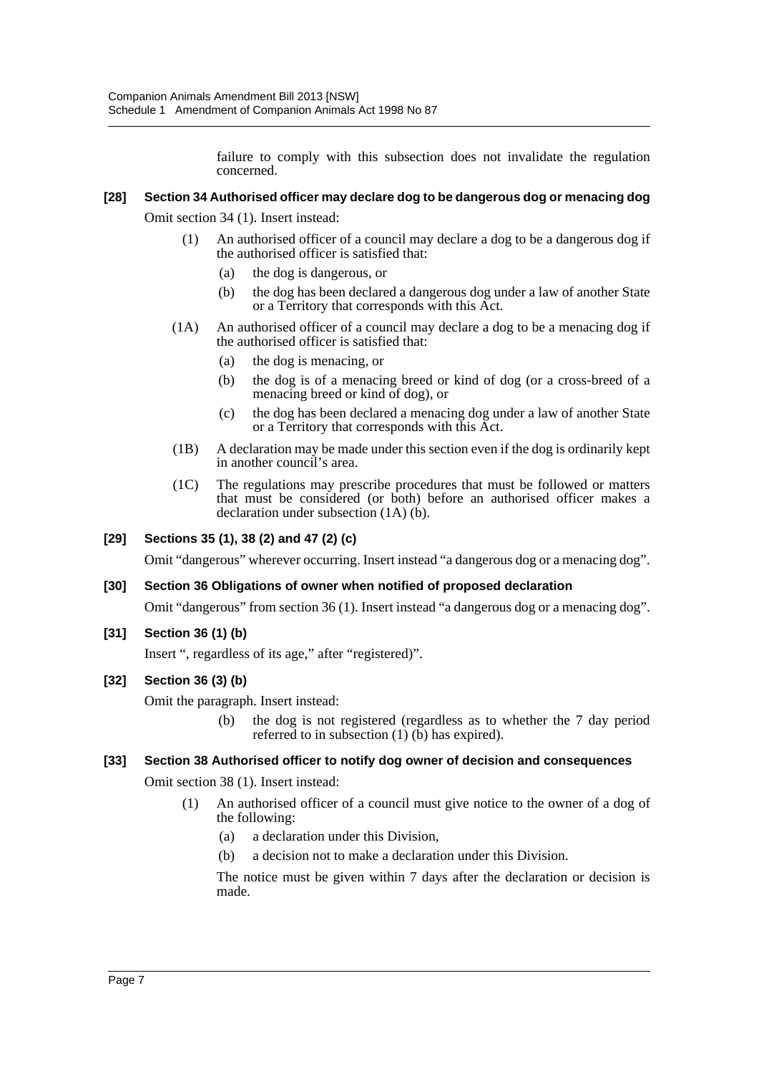failure to comply with this subsection does not invalidate the regulation concerned.

## **[28] Section 34 Authorised officer may declare dog to be dangerous dog or menacing dog**

Omit section 34 (1). Insert instead:

- (1) An authorised officer of a council may declare a dog to be a dangerous dog if the authorised officer is satisfied that:
	- (a) the dog is dangerous, or
	- (b) the dog has been declared a dangerous dog under a law of another State or a Territory that corresponds with this Act.
- (1A) An authorised officer of a council may declare a dog to be a menacing dog if the authorised officer is satisfied that:
	- (a) the dog is menacing, or
	- (b) the dog is of a menacing breed or kind of dog (or a cross-breed of a menacing breed or kind of dog), or
	- (c) the dog has been declared a menacing dog under a law of another State or a Territory that corresponds with this Act.
- (1B) A declaration may be made under this section even if the dog is ordinarily kept in another council's area.
- (1C) The regulations may prescribe procedures that must be followed or matters that must be considered (or both) before an authorised officer makes a declaration under subsection (1A) (b).

# **[29] Sections 35 (1), 38 (2) and 47 (2) (c)**

Omit "dangerous" wherever occurring. Insert instead "a dangerous dog or a menacing dog".

#### **[30] Section 36 Obligations of owner when notified of proposed declaration**

Omit "dangerous" from section 36 (1). Insert instead "a dangerous dog or a menacing dog".

**[31] Section 36 (1) (b)**

Insert ", regardless of its age," after "registered)".

#### **[32] Section 36 (3) (b)**

Omit the paragraph. Insert instead:

(b) the dog is not registered (regardless as to whether the 7 day period referred to in subsection  $(1)$  (b) has expired).

#### **[33] Section 38 Authorised officer to notify dog owner of decision and consequences**

Omit section 38 (1). Insert instead:

- (1) An authorised officer of a council must give notice to the owner of a dog of the following:
	- (a) a declaration under this Division,
	- (b) a decision not to make a declaration under this Division.

The notice must be given within 7 days after the declaration or decision is made.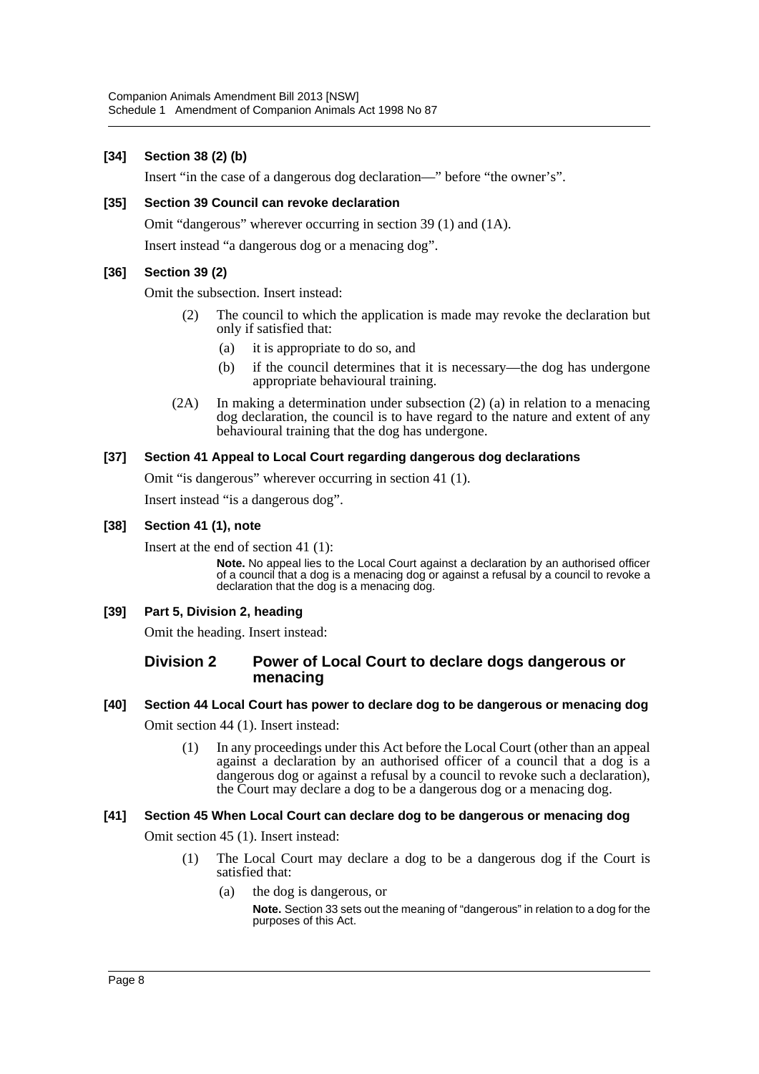# **[34] Section 38 (2) (b)**

Insert "in the case of a dangerous dog declaration—" before "the owner's".

#### **[35] Section 39 Council can revoke declaration**

Omit "dangerous" wherever occurring in section 39 (1) and (1A).

Insert instead "a dangerous dog or a menacing dog".

## **[36] Section 39 (2)**

Omit the subsection. Insert instead:

- (2) The council to which the application is made may revoke the declaration but only if satisfied that:
	- (a) it is appropriate to do so, and
	- (b) if the council determines that it is necessary—the dog has undergone appropriate behavioural training.
- (2A) In making a determination under subsection (2) (a) in relation to a menacing dog declaration, the council is to have regard to the nature and extent of any behavioural training that the dog has undergone.

#### **[37] Section 41 Appeal to Local Court regarding dangerous dog declarations**

Omit "is dangerous" wherever occurring in section 41 (1).

Insert instead "is a dangerous dog".

#### **[38] Section 41 (1), note**

Insert at the end of section 41 (1):

**Note.** No appeal lies to the Local Court against a declaration by an authorised officer of a council that a dog is a menacing dog or against a refusal by a council to revoke a declaration that the dog is a menacing dog.

#### **[39] Part 5, Division 2, heading**

Omit the heading. Insert instead:

## **Division 2 Power of Local Court to declare dogs dangerous or menacing**

# **[40] Section 44 Local Court has power to declare dog to be dangerous or menacing dog**

Omit section 44 (1). Insert instead:

(1) In any proceedings under this Act before the Local Court (other than an appeal against a declaration by an authorised officer of a council that a dog is a dangerous dog or against a refusal by a council to revoke such a declaration), the Court may declare a dog to be a dangerous dog or a menacing dog.

#### **[41] Section 45 When Local Court can declare dog to be dangerous or menacing dog**

Omit section 45 (1). Insert instead:

- (1) The Local Court may declare a dog to be a dangerous dog if the Court is satisfied that:
	- (a) the dog is dangerous, or

**Note.** Section 33 sets out the meaning of "dangerous" in relation to a dog for the purposes of this Act.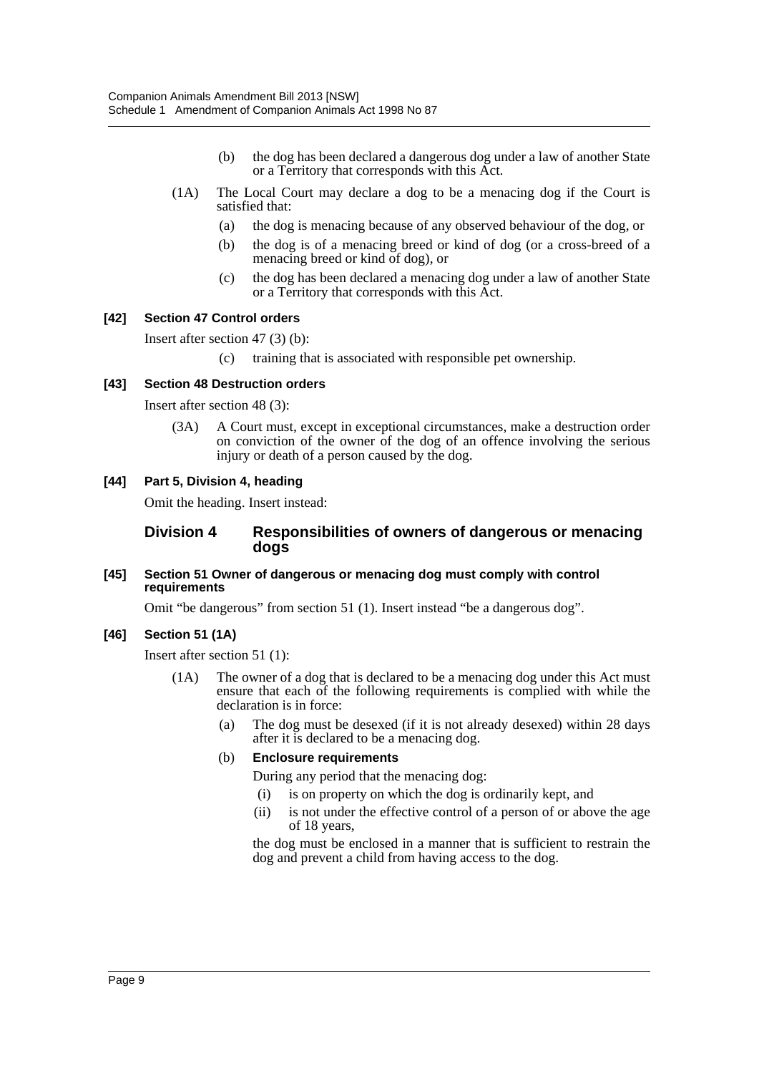- (b) the dog has been declared a dangerous dog under a law of another State or a Territory that corresponds with this Act.
- (1A) The Local Court may declare a dog to be a menacing dog if the Court is satisfied that:
	- (a) the dog is menacing because of any observed behaviour of the dog, or
	- (b) the dog is of a menacing breed or kind of dog (or a cross-breed of a menacing breed or kind of dog), or
	- (c) the dog has been declared a menacing dog under a law of another State or a Territory that corresponds with this Act.

#### **[42] Section 47 Control orders**

Insert after section 47 (3) (b):

(c) training that is associated with responsible pet ownership.

#### **[43] Section 48 Destruction orders**

Insert after section 48 (3):

(3A) A Court must, except in exceptional circumstances, make a destruction order on conviction of the owner of the dog of an offence involving the serious injury or death of a person caused by the dog.

#### **[44] Part 5, Division 4, heading**

Omit the heading. Insert instead:

## **Division 4 Responsibilities of owners of dangerous or menacing dogs**

#### **[45] Section 51 Owner of dangerous or menacing dog must comply with control requirements**

Omit "be dangerous" from section 51 (1). Insert instead "be a dangerous dog".

#### **[46] Section 51 (1A)**

Insert after section 51 (1):

- (1A) The owner of a dog that is declared to be a menacing dog under this Act must ensure that each of the following requirements is complied with while the declaration is in force:
	- (a) The dog must be desexed (if it is not already desexed) within 28 days after it is declared to be a menacing dog.

#### (b) **Enclosure requirements**

- During any period that the menacing dog:
- (i) is on property on which the dog is ordinarily kept, and
- (ii) is not under the effective control of a person of or above the age of 18 years,

the dog must be enclosed in a manner that is sufficient to restrain the dog and prevent a child from having access to the dog.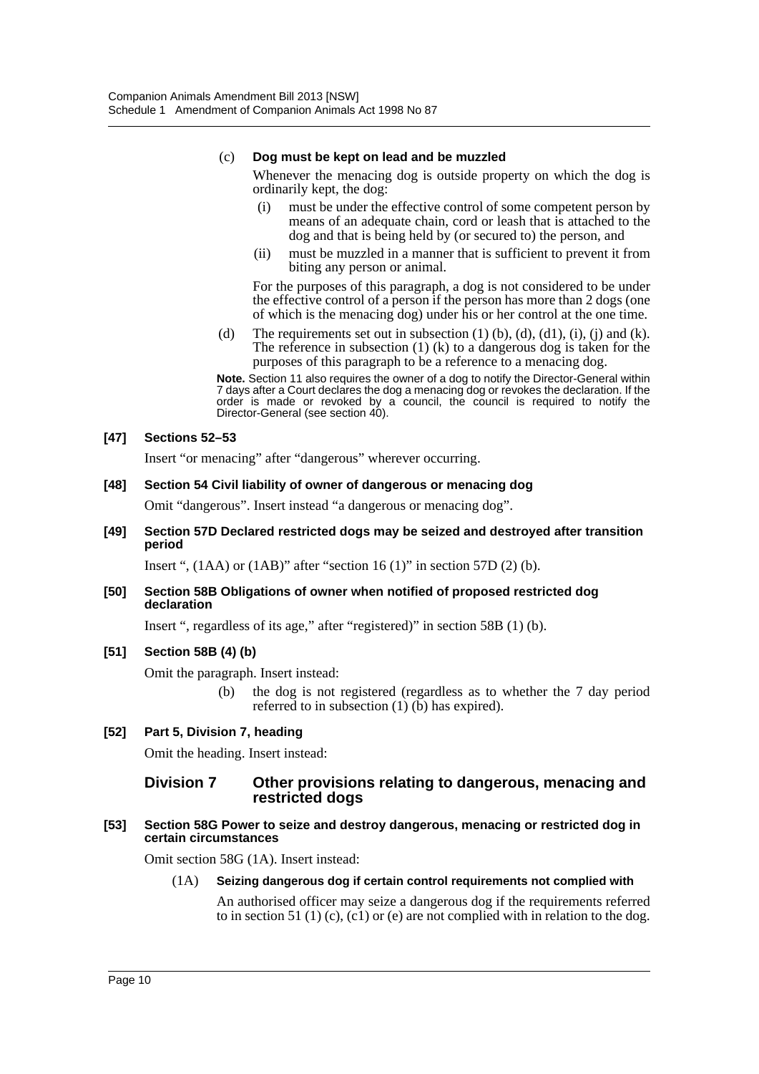# (c) **Dog must be kept on lead and be muzzled**

Whenever the menacing dog is outside property on which the dog is ordinarily kept, the dog:

- (i) must be under the effective control of some competent person by means of an adequate chain, cord or leash that is attached to the dog and that is being held by (or secured to) the person, and
- (ii) must be muzzled in a manner that is sufficient to prevent it from biting any person or animal.

For the purposes of this paragraph, a dog is not considered to be under the effective control of a person if the person has more than 2 dogs (one of which is the menacing dog) under his or her control at the one time.

(d) The requirements set out in subsection  $(1)$  (b),  $(d)$ ,  $(d)$ ,  $(i)$ ,  $(i)$  and  $(k)$ . The reference in subsection  $(1)$   $(k)$  to a dangerous dog is taken for the purposes of this paragraph to be a reference to a menacing dog.

**Note.** Section 11 also requires the owner of a dog to notify the Director-General within 7 days after a Court declares the dog a menacing dog or revokes the declaration. If the order is made or revoked by a council, the council is required to notify the Director-General (see section 40).

## **[47] Sections 52–53**

Insert "or menacing" after "dangerous" wherever occurring.

#### **[48] Section 54 Civil liability of owner of dangerous or menacing dog**

Omit "dangerous". Insert instead "a dangerous or menacing dog".

#### **[49] Section 57D Declared restricted dogs may be seized and destroyed after transition period**

Insert ",  $(1AA)$  or  $(1AB)$ " after "section 16 $(1)$ " in section 57D $(2)$  $(b)$ .

#### **[50] Section 58B Obligations of owner when notified of proposed restricted dog declaration**

Insert ", regardless of its age," after "registered)" in section 58B (1) (b).

# **[51] Section 58B (4) (b)**

Omit the paragraph. Insert instead:

(b) the dog is not registered (regardless as to whether the 7 day period referred to in subsection  $(1)$  (b) has expired).

# **[52] Part 5, Division 7, heading**

Omit the heading. Insert instead:

## **Division 7 Other provisions relating to dangerous, menacing and restricted dogs**

**[53] Section 58G Power to seize and destroy dangerous, menacing or restricted dog in certain circumstances**

Omit section 58G (1A). Insert instead:

#### (1A) **Seizing dangerous dog if certain control requirements not complied with**

An authorised officer may seize a dangerous dog if the requirements referred to in section 51 (1) (c), (c1) or (e) are not complied with in relation to the dog.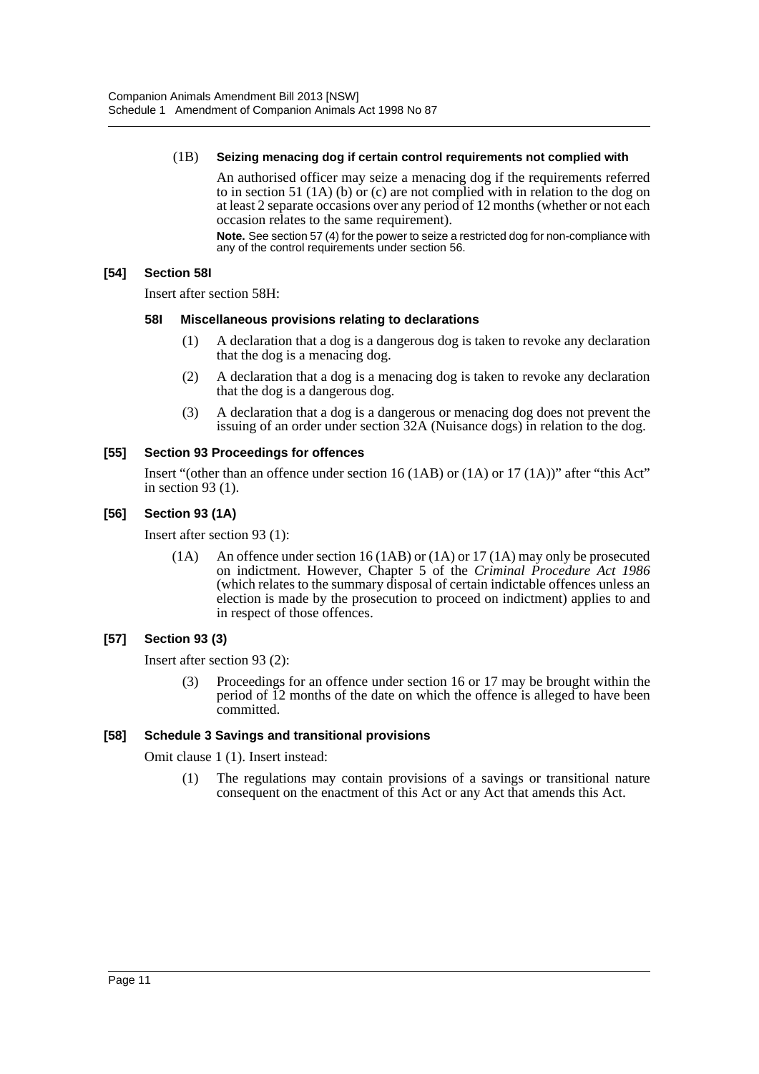#### (1B) **Seizing menacing dog if certain control requirements not complied with**

An authorised officer may seize a menacing dog if the requirements referred to in section 51 (1A) (b) or (c) are not complied with in relation to the dog on at least 2 separate occasions over any period of 12 months (whether or not each occasion relates to the same requirement).

**Note.** See section 57 (4) for the power to seize a restricted dog for non-compliance with any of the control requirements under section 56.

# **[54] Section 58I**

Insert after section 58H:

## **58I Miscellaneous provisions relating to declarations**

- (1) A declaration that a dog is a dangerous dog is taken to revoke any declaration that the dog is a menacing dog.
- (2) A declaration that a dog is a menacing dog is taken to revoke any declaration that the dog is a dangerous dog.
- (3) A declaration that a dog is a dangerous or menacing dog does not prevent the issuing of an order under section 32A (Nuisance dogs) in relation to the dog.

# **[55] Section 93 Proceedings for offences**

Insert "(other than an offence under section 16 (1AB) or (1A) or 17 (1A))" after "this Act" in section 93 (1).

# **[56] Section 93 (1A)**

Insert after section 93 (1):

(1A) An offence under section 16 (1AB) or (1A) or 17 (1A) may only be prosecuted on indictment. However, Chapter 5 of the *Criminal Procedure Act 1986* (which relates to the summary disposal of certain indictable offences unless an election is made by the prosecution to proceed on indictment) applies to and in respect of those offences.

# **[57] Section 93 (3)**

Insert after section 93 (2):

(3) Proceedings for an offence under section 16 or 17 may be brought within the period of 12 months of the date on which the offence is alleged to have been committed.

# **[58] Schedule 3 Savings and transitional provisions**

Omit clause 1 (1). Insert instead:

(1) The regulations may contain provisions of a savings or transitional nature consequent on the enactment of this Act or any Act that amends this Act.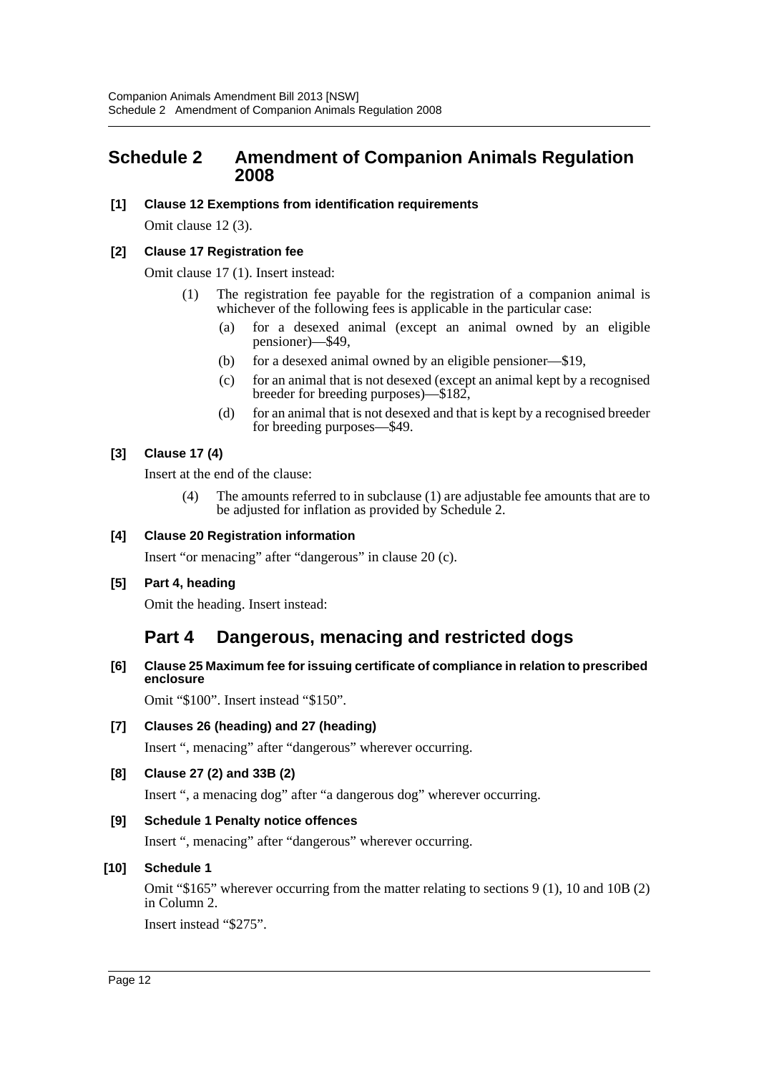# <span id="page-12-0"></span>**Schedule 2 Amendment of Companion Animals Regulation 2008**

## **[1] Clause 12 Exemptions from identification requirements**

Omit clause 12 (3).

## **[2] Clause 17 Registration fee**

Omit clause 17 (1). Insert instead:

- (1) The registration fee payable for the registration of a companion animal is whichever of the following fees is applicable in the particular case:
	- (a) for a desexed animal (except an animal owned by an eligible pensioner)—\$49,
	- (b) for a desexed animal owned by an eligible pensioner—\$19,
	- (c) for an animal that is not desexed (except an animal kept by a recognised breeder for breeding purposes)—\$182,
	- (d) for an animal that is not desexed and that is kept by a recognised breeder for breeding purposes—\$49.

## **[3] Clause 17 (4)**

Insert at the end of the clause:

(4) The amounts referred to in subclause (1) are adjustable fee amounts that are to be adjusted for inflation as provided by Schedule 2.

## **[4] Clause 20 Registration information**

Insert "or menacing" after "dangerous" in clause 20 (c).

#### **[5] Part 4, heading**

Omit the heading. Insert instead:

# **Part 4 Dangerous, menacing and restricted dogs**

## **[6] Clause 25 Maximum fee for issuing certificate of compliance in relation to prescribed enclosure**

Omit "\$100". Insert instead "\$150".

# **[7] Clauses 26 (heading) and 27 (heading)**

Insert ", menacing" after "dangerous" wherever occurring.

# **[8] Clause 27 (2) and 33B (2)**

Insert ", a menacing dog" after "a dangerous dog" wherever occurring.

# **[9] Schedule 1 Penalty notice offences**

Insert ", menacing" after "dangerous" wherever occurring.

# **[10] Schedule 1**

Omit "\$165" wherever occurring from the matter relating to sections 9 (1), 10 and 10B (2) in Column 2.

Insert instead "\$275".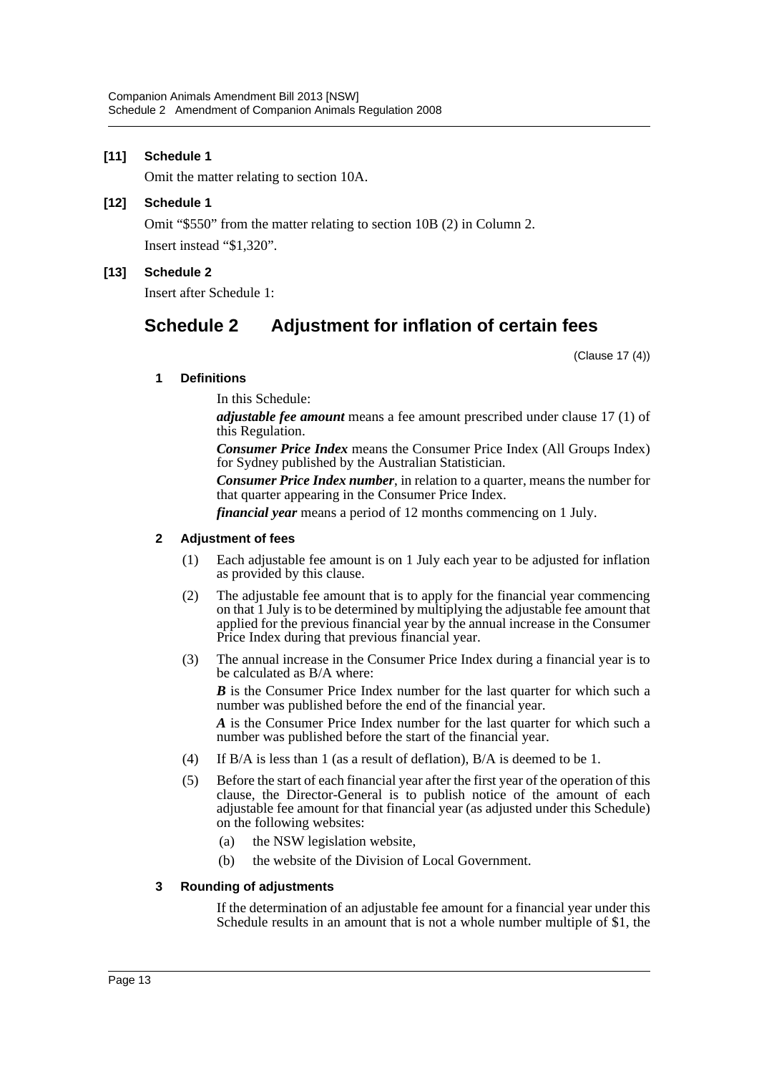# **[11] Schedule 1**

Omit the matter relating to section 10A.

#### **[12] Schedule 1**

Omit "\$550" from the matter relating to section 10B (2) in Column 2. Insert instead "\$1,320".

#### **[13] Schedule 2**

Insert after Schedule 1:

# **Schedule 2 Adjustment for inflation of certain fees**

(Clause 17 (4))

#### **1 Definitions**

In this Schedule:

*adjustable fee amount* means a fee amount prescribed under clause 17 (1) of this Regulation.

*Consumer Price Index* means the Consumer Price Index (All Groups Index) for Sydney published by the Australian Statistician.

*Consumer Price Index number*, in relation to a quarter, means the number for that quarter appearing in the Consumer Price Index.

*financial year* means a period of 12 months commencing on 1 July.

#### **2 Adjustment of fees**

- (1) Each adjustable fee amount is on 1 July each year to be adjusted for inflation as provided by this clause.
- (2) The adjustable fee amount that is to apply for the financial year commencing on that 1 July is to be determined by multiplying the adjustable fee amount that applied for the previous financial year by the annual increase in the Consumer Price Index during that previous financial year.
- (3) The annual increase in the Consumer Price Index during a financial year is to be calculated as B/A where:

*B* is the Consumer Price Index number for the last quarter for which such a number was published before the end of the financial year.

*A* is the Consumer Price Index number for the last quarter for which such a number was published before the start of the financial year.

- (4) If B/A is less than 1 (as a result of deflation), B/A is deemed to be 1.
- (5) Before the start of each financial year after the first year of the operation of this clause, the Director-General is to publish notice of the amount of each adjustable fee amount for that financial year (as adjusted under this Schedule) on the following websites:
	- (a) the NSW legislation website,
	- (b) the website of the Division of Local Government.

#### **3 Rounding of adjustments**

If the determination of an adjustable fee amount for a financial year under this Schedule results in an amount that is not a whole number multiple of \$1, the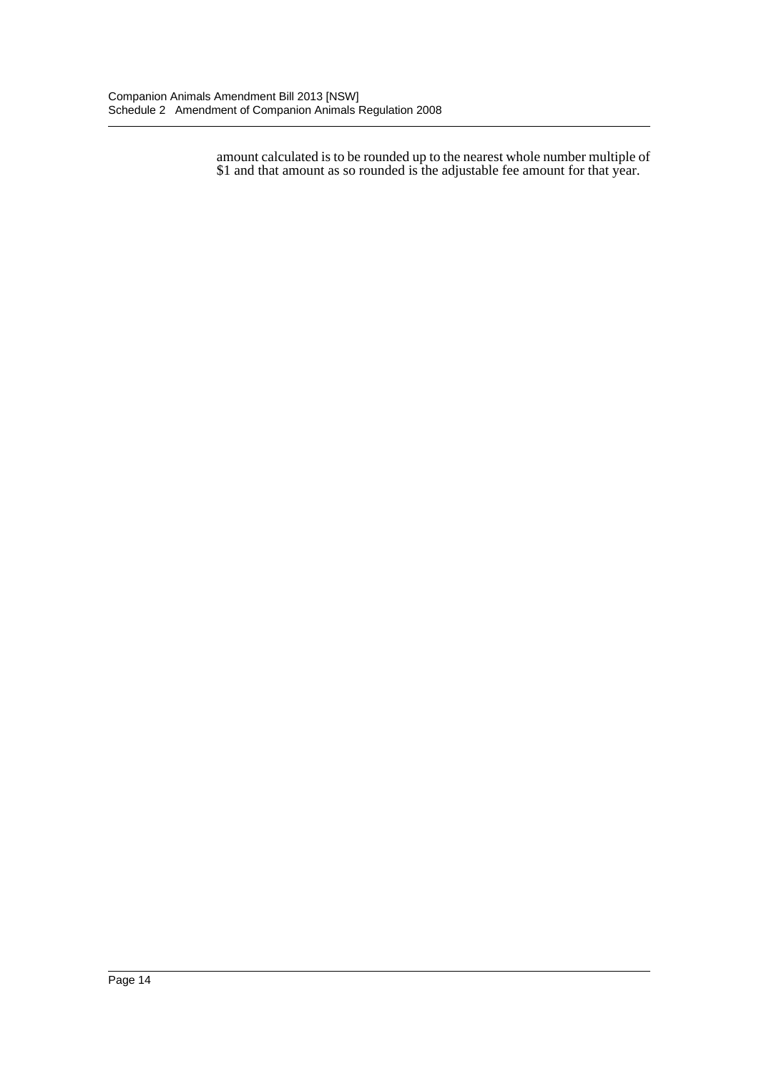amount calculated is to be rounded up to the nearest whole number multiple of \$1 and that amount as so rounded is the adjustable fee amount for that year.